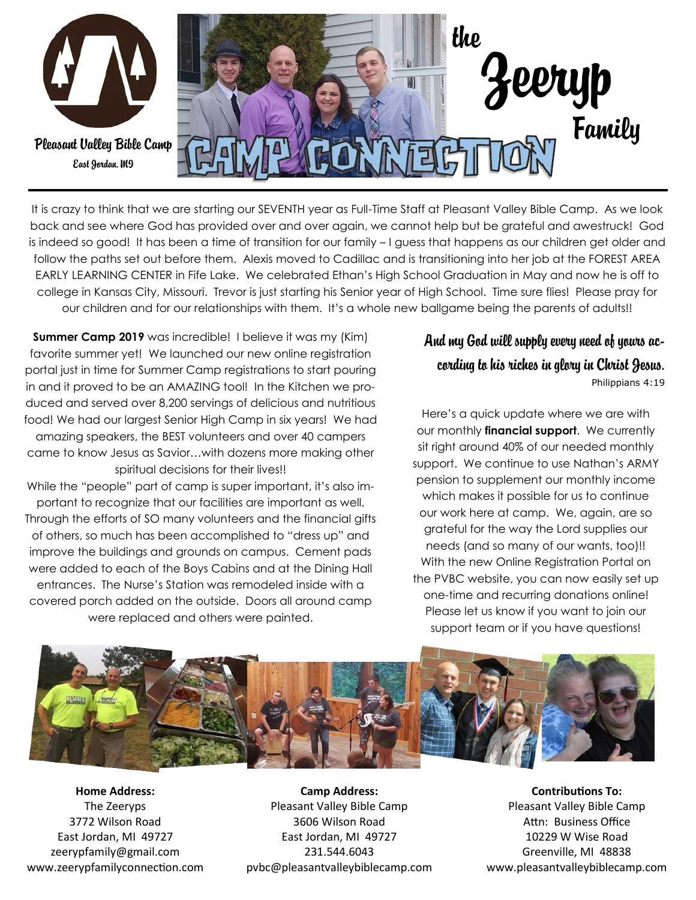

It is crazy to think that we are starting our SEVENTH year as Full-Time Staff at Pleasant Valley Bible Camp. As we look back and see where God has provided over and over again, we cannot help but be grateful and awestruck! God is indeed so good! It has been a time of transition for our family – I guess that happens as our children get older and follow the paths set out before them. Alexis moved to Cadillac and is transitioning into her job at the FOREST AREA EARLY LEARNING CENTER in Fife Lake. We celebrated Ethan's High School Graduation in May and now he is off to college in Kansas City, Missouri. Trevor is just starting his Senior year of High School. Time sure flies! Please pray for our children and for our relationships with them. It's a whole new ballgame being the parents of adults!!

**Summer Camp 2019** was incredible! I believe it was my (Kim) favorite summer yet! We launched our new online registration portal just in time for Summer Camp registrations to start pouring in and it proved to be an AMAZING tool! In the Kitchen we produced and served over 8,200 servings of delicious and nutritious food! We had our largest Senior High Camp in six years! We had amazing speakers, the BEST volunteers and over 40 campers came to know Jesus as Savior…with dozens more making other spiritual decisions for their lives!!

While the "people" part of camp is super important, it's also important to recognize that our facilities are important as well. Through the efforts of SO many volunteers and the financial gifts of others, so much has been accomplished to "dress up" and improve the buildings and grounds on campus. Cement pads were added to each of the Boys Cabins and at the Dining Hall entrances. The Nurse's Station was remodeled inside with a covered porch added on the outside. Doors all around camp were replaced and others were painted.

## And my God will supply every need of yours ac-

cording to his riches in glory in Christ Jesus. Philippians 4:19

Here's a quick update where we are with our monthly **financial support**. We currently sit right around 40% of our needed monthly support. We continue to use Nathan's ARMY pension to supplement our monthly income which makes it possible for us to continue our work here at camp. We, again, are so grateful for the way the Lord supplies our needs (and so many of our wants, too)!! With the new Online Registration Portal on the PVBC website, you can now easily set up one-time and recurring donations online! Please let us know if you want to join our support team or if you have questions!



**Home Address:** The Zeeryps 3772 Wilson Road East Jordan, MI 49727 zeerypfamily@gmail.com www.zeerypfamilyconnection.com

**Camp Address:** Pleasant Valley Bible Camp 3606 Wilson Road East Jordan, MI 49727 231.544.6043 pvbc@pleasantvalleybiblecamp.com

**Contributions To:** Pleasant Valley Bible Camp Attn: Business Office 10229 W Wise Road Greenville, MI 48838 www.pleasantvalleybiblecamp.com